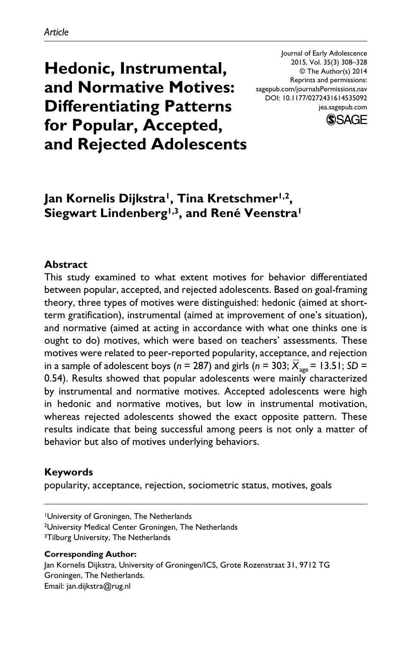**Hedonic, Instrumental, and Normative Motives: Differentiating Patterns for Popular, Accepted, and Rejected Adolescents**

Journal of Early Adolescence 2015, Vol. 35(3) 308–328 © The Author(s) 2014 Reprints and permissions: sagepub.com/journalsPermissions.nav DOI: 10.1177/0272431614535092 jea.sagepub.com



# **Jan Kornelis Dijkstra1, Tina Kretschmer1,2,**  Siegwart Lindenberg<sup>1,3</sup>, and René Veenstra<sup>1</sup>

#### **Abstract**

This study examined to what extent motives for behavior differentiated between popular, accepted, and rejected adolescents. Based on goal-framing theory, three types of motives were distinguished: hedonic (aimed at shortterm gratification), instrumental (aimed at improvement of one's situation), and normative (aimed at acting in accordance with what one thinks one is ought to do) motives, which were based on teachers' assessments. These motives were related to peer-reported popularity, acceptance, and rejection in a sample of adolescent boys ( $n = 287$ ) and girls ( $n = 303$ ;  $\overline{X}_{\text{age}} = 13.51$ ; *SD* = 0.54). Results showed that popular adolescents were mainly characterized by instrumental and normative motives. Accepted adolescents were high in hedonic and normative motives, but low in instrumental motivation, whereas rejected adolescents showed the exact opposite pattern. These results indicate that being successful among peers is not only a matter of behavior but also of motives underlying behaviors.

#### **Keywords**

popularity, acceptance, rejection, sociometric status, motives, goals

<sup>3</sup>Tilburg University, The Netherlands

**Corresponding Author:** Jan Kornelis Dijkstra, University of Groningen/ICS, Grote Rozenstraat 31, 9712 TG Groningen, The Netherlands. Email: [jan.dijkstra@rug.nl](mailto:jan.dijkstra@rug.nl)

<sup>1</sup>University of Groningen, The Netherlands

<sup>2</sup>University Medical Center Groningen, The Netherlands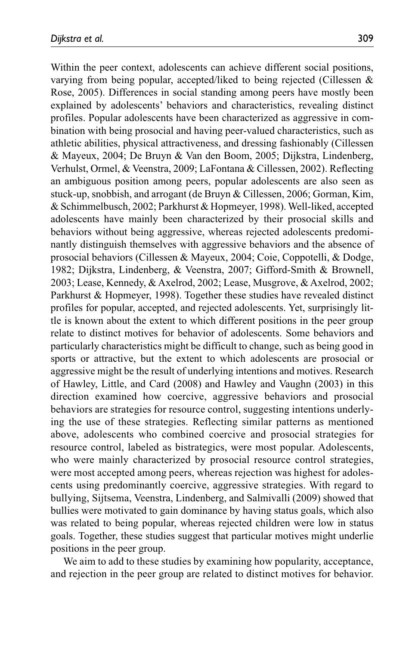Within the peer context, adolescents can achieve different social positions, varying from being popular, accepted/liked to being rejected (Cillessen & Rose, 2005). Differences in social standing among peers have mostly been explained by adolescents' behaviors and characteristics, revealing distinct profiles. Popular adolescents have been characterized as aggressive in combination with being prosocial and having peer-valued characteristics, such as athletic abilities, physical attractiveness, and dressing fashionably (Cillessen & Mayeux, 2004; De Bruyn & Van den Boom, 2005; Dijkstra, Lindenberg, Verhulst, Ormel, & Veenstra, 2009; LaFontana & Cillessen, 2002). Reflecting an ambiguous position among peers, popular adolescents are also seen as stuck-up, snobbish, and arrogant (de Bruyn & Cillessen, 2006; Gorman, Kim, & Schimmelbusch, 2002; Parkhurst & Hopmeyer, 1998). Well-liked, accepted adolescents have mainly been characterized by their prosocial skills and behaviors without being aggressive, whereas rejected adolescents predominantly distinguish themselves with aggressive behaviors and the absence of prosocial behaviors (Cillessen & Mayeux, 2004; Coie, Coppotelli, & Dodge, 1982; Dijkstra, Lindenberg, & Veenstra, 2007; Gifford-Smith & Brownell, 2003; Lease, Kennedy, & Axelrod, 2002; Lease, Musgrove, & Axelrod, 2002; Parkhurst & Hopmeyer, 1998). Together these studies have revealed distinct profiles for popular, accepted, and rejected adolescents. Yet, surprisingly little is known about the extent to which different positions in the peer group relate to distinct motives for behavior of adolescents. Some behaviors and particularly characteristics might be difficult to change, such as being good in sports or attractive, but the extent to which adolescents are prosocial or aggressive might be the result of underlying intentions and motives. Research of Hawley, Little, and Card (2008) and Hawley and Vaughn (2003) in this direction examined how coercive, aggressive behaviors and prosocial behaviors are strategies for resource control, suggesting intentions underlying the use of these strategies. Reflecting similar patterns as mentioned above, adolescents who combined coercive and prosocial strategies for resource control, labeled as bistrategics, were most popular. Adolescents, who were mainly characterized by prosocial resource control strategies, were most accepted among peers, whereas rejection was highest for adolescents using predominantly coercive, aggressive strategies. With regard to bullying, Sijtsema, Veenstra, Lindenberg, and Salmivalli (2009) showed that bullies were motivated to gain dominance by having status goals, which also was related to being popular, whereas rejected children were low in status goals. Together, these studies suggest that particular motives might underlie positions in the peer group.

We aim to add to these studies by examining how popularity, acceptance, and rejection in the peer group are related to distinct motives for behavior.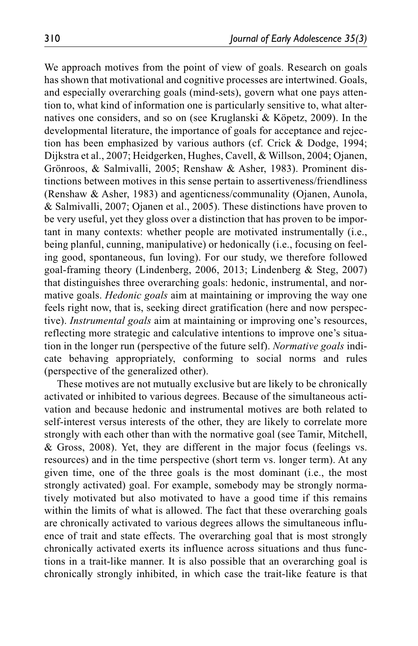We approach motives from the point of view of goals. Research on goals has shown that motivational and cognitive processes are intertwined. Goals, and especially overarching goals (mind-sets), govern what one pays attention to, what kind of information one is particularly sensitive to, what alternatives one considers, and so on (see Kruglanski & Köpetz, 2009). In the developmental literature, the importance of goals for acceptance and rejection has been emphasized by various authors (cf. Crick & Dodge, 1994; Dijkstra et al., 2007; Heidgerken, Hughes, Cavell, & Willson, 2004; Ojanen, Grönroos, & Salmivalli, 2005; Renshaw & Asher, 1983). Prominent distinctions between motives in this sense pertain to assertiveness/friendliness (Renshaw & Asher, 1983) and agenticness/communality (Ojanen, Aunola, & Salmivalli, 2007; Ojanen et al., 2005). These distinctions have proven to be very useful, yet they gloss over a distinction that has proven to be important in many contexts: whether people are motivated instrumentally (i.e., being planful, cunning, manipulative) or hedonically (i.e., focusing on feeling good, spontaneous, fun loving). For our study, we therefore followed goal-framing theory (Lindenberg, 2006, 2013; Lindenberg & Steg, 2007) that distinguishes three overarching goals: hedonic, instrumental, and normative goals. *Hedonic goals* aim at maintaining or improving the way one feels right now, that is, seeking direct gratification (here and now perspective). *Instrumental goals* aim at maintaining or improving one's resources, reflecting more strategic and calculative intentions to improve one's situation in the longer run (perspective of the future self). *Normative goals* indicate behaving appropriately, conforming to social norms and rules (perspective of the generalized other).

These motives are not mutually exclusive but are likely to be chronically activated or inhibited to various degrees. Because of the simultaneous activation and because hedonic and instrumental motives are both related to self-interest versus interests of the other, they are likely to correlate more strongly with each other than with the normative goal (see Tamir, Mitchell, & Gross, 2008). Yet, they are different in the major focus (feelings vs. resources) and in the time perspective (short term vs. longer term). At any given time, one of the three goals is the most dominant (i.e., the most strongly activated) goal. For example, somebody may be strongly normatively motivated but also motivated to have a good time if this remains within the limits of what is allowed. The fact that these overarching goals are chronically activated to various degrees allows the simultaneous influence of trait and state effects. The overarching goal that is most strongly chronically activated exerts its influence across situations and thus functions in a trait-like manner. It is also possible that an overarching goal is chronically strongly inhibited, in which case the trait-like feature is that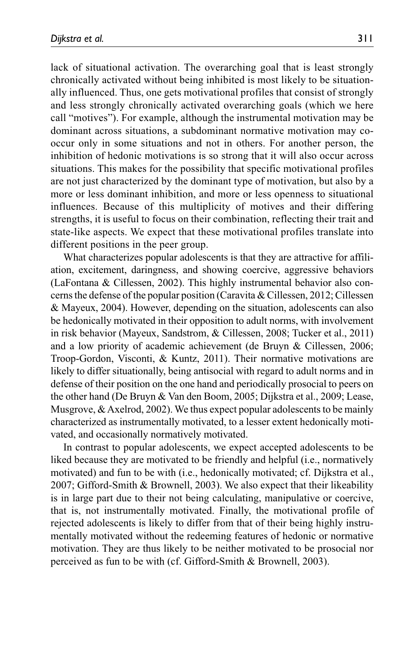lack of situational activation. The overarching goal that is least strongly chronically activated without being inhibited is most likely to be situationally influenced. Thus, one gets motivational profiles that consist of strongly and less strongly chronically activated overarching goals (which we here call "motives"). For example, although the instrumental motivation may be dominant across situations, a subdominant normative motivation may cooccur only in some situations and not in others. For another person, the inhibition of hedonic motivations is so strong that it will also occur across situations. This makes for the possibility that specific motivational profiles are not just characterized by the dominant type of motivation, but also by a more or less dominant inhibition, and more or less openness to situational influences. Because of this multiplicity of motives and their differing strengths, it is useful to focus on their combination, reflecting their trait and state-like aspects. We expect that these motivational profiles translate into different positions in the peer group.

What characterizes popular adolescents is that they are attractive for affiliation, excitement, daringness, and showing coercive, aggressive behaviors (LaFontana & Cillessen, 2002). This highly instrumental behavior also concerns the defense of the popular position (Caravita & Cillessen, 2012; Cillessen & Mayeux, 2004). However, depending on the situation, adolescents can also be hedonically motivated in their opposition to adult norms, with involvement in risk behavior (Mayeux, Sandstrom, & Cillessen, 2008; Tucker et al., 2011) and a low priority of academic achievement (de Bruyn & Cillessen, 2006; Troop-Gordon, Visconti, & Kuntz, 2011). Their normative motivations are likely to differ situationally, being antisocial with regard to adult norms and in defense of their position on the one hand and periodically prosocial to peers on the other hand (De Bruyn & Van den Boom, 2005; Dijkstra et al., 2009; Lease, Musgrove, & Axelrod, 2002). We thus expect popular adolescents to be mainly characterized as instrumentally motivated, to a lesser extent hedonically motivated, and occasionally normatively motivated.

In contrast to popular adolescents, we expect accepted adolescents to be liked because they are motivated to be friendly and helpful (i.e., normatively motivated) and fun to be with (i.e., hedonically motivated; cf. Dijkstra et al., 2007; Gifford-Smith & Brownell, 2003). We also expect that their likeability is in large part due to their not being calculating, manipulative or coercive, that is, not instrumentally motivated. Finally, the motivational profile of rejected adolescents is likely to differ from that of their being highly instrumentally motivated without the redeeming features of hedonic or normative motivation. They are thus likely to be neither motivated to be prosocial nor perceived as fun to be with (cf. Gifford-Smith & Brownell, 2003).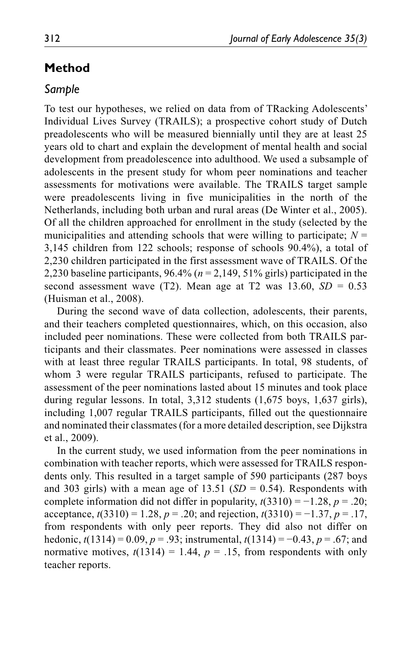# **Method**

### *Sample*

To test our hypotheses, we relied on data from of TRacking Adolescents' Individual Lives Survey (TRAILS); a prospective cohort study of Dutch preadolescents who will be measured biennially until they are at least 25 years old to chart and explain the development of mental health and social development from preadolescence into adulthood. We used a subsample of adolescents in the present study for whom peer nominations and teacher assessments for motivations were available. The TRAILS target sample were preadolescents living in five municipalities in the north of the Netherlands, including both urban and rural areas (De Winter et al., 2005). Of all the children approached for enrollment in the study (selected by the municipalities and attending schools that were willing to participate;  $N =$ 3,145 children from 122 schools; response of schools 90.4%), a total of 2,230 children participated in the first assessment wave of TRAILS. Of the 2,230 baseline participants,  $96.4\%$  ( $n = 2,149,51\%$  girls) participated in the second assessment wave (T2). Mean age at T2 was  $13.60$ ,  $SD = 0.53$ (Huisman et al., 2008).

During the second wave of data collection, adolescents, their parents, and their teachers completed questionnaires, which, on this occasion, also included peer nominations. These were collected from both TRAILS participants and their classmates. Peer nominations were assessed in classes with at least three regular TRAILS participants. In total, 98 students, of whom 3 were regular TRAILS participants, refused to participate. The assessment of the peer nominations lasted about 15 minutes and took place during regular lessons. In total, 3,312 students (1,675 boys, 1,637 girls), including 1,007 regular TRAILS participants, filled out the questionnaire and nominated their classmates (for a more detailed description, see Dijkstra et al., 2009).

In the current study, we used information from the peer nominations in combination with teacher reports, which were assessed for TRAILS respondents only. This resulted in a target sample of 590 participants (287 boys and 303 girls) with a mean age of  $13.51$  (*SD* = 0.54). Respondents with complete information did not differ in popularity,  $t(3310) = -1.28$ ,  $p = .20$ ; acceptance, *t*(3310) = 1.28, *p* = .20; and rejection, *t*(3310) = −1.37, *p* = .17, from respondents with only peer reports. They did also not differ on hedonic, *t*(1314) = 0.09, *p* = .93; instrumental, *t*(1314) = −0.43, *p* = .67; and normative motives,  $t(1314) = 1.44$ ,  $p = .15$ , from respondents with only teacher reports.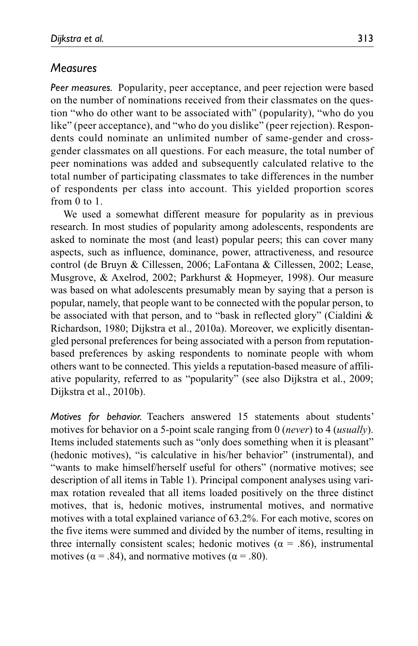### *Measures*

*Peer measures.* Popularity, peer acceptance, and peer rejection were based on the number of nominations received from their classmates on the question "who do other want to be associated with" (popularity), "who do you like" (peer acceptance), and "who do you dislike" (peer rejection). Respondents could nominate an unlimited number of same-gender and crossgender classmates on all questions. For each measure, the total number of peer nominations was added and subsequently calculated relative to the total number of participating classmates to take differences in the number of respondents per class into account. This yielded proportion scores from 0 to 1.

We used a somewhat different measure for popularity as in previous research. In most studies of popularity among adolescents, respondents are asked to nominate the most (and least) popular peers; this can cover many aspects, such as influence, dominance, power, attractiveness, and resource control (de Bruyn & Cillessen, 2006; LaFontana & Cillessen, 2002; Lease, Musgrove, & Axelrod, 2002; Parkhurst & Hopmeyer, 1998). Our measure was based on what adolescents presumably mean by saying that a person is popular, namely, that people want to be connected with the popular person, to be associated with that person, and to "bask in reflected glory" (Cialdini & Richardson, 1980; Dijkstra et al., 2010a). Moreover, we explicitly disentangled personal preferences for being associated with a person from reputationbased preferences by asking respondents to nominate people with whom others want to be connected. This yields a reputation-based measure of affiliative popularity, referred to as "popularity" (see also Dijkstra et al., 2009; Dijkstra et al., 2010b).

*Motives for behavior.* Teachers answered 15 statements about students' motives for behavior on a 5-point scale ranging from 0 (*never*) to 4 (*usually*). Items included statements such as "only does something when it is pleasant" (hedonic motives), "is calculative in his/her behavior" (instrumental), and "wants to make himself/herself useful for others" (normative motives; see description of all items in Table 1). Principal component analyses using varimax rotation revealed that all items loaded positively on the three distinct motives, that is, hedonic motives, instrumental motives, and normative motives with a total explained variance of 63.2%. For each motive, scores on the five items were summed and divided by the number of items, resulting in three internally consistent scales; hedonic motives ( $\alpha$  = .86), instrumental motives ( $\alpha$  = .84), and normative motives ( $\alpha$  = .80).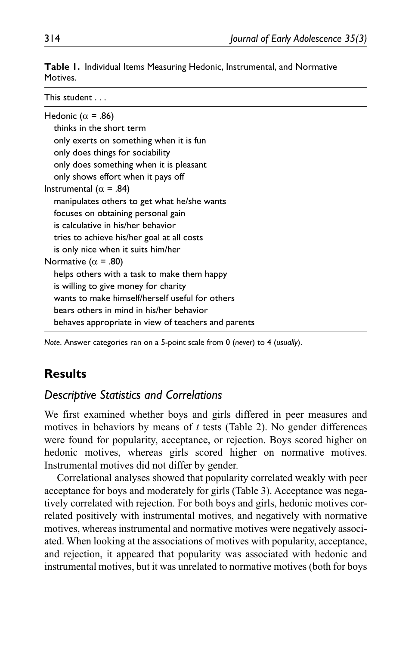**Table 1.** Individual Items Measuring Hedonic, Instrumental, and Normative Motives.

| This student                                        |  |
|-----------------------------------------------------|--|
| Hedonic ( $\alpha$ = .86)                           |  |
| thinks in the short term                            |  |
| only exerts on something when it is fun             |  |
| only does things for sociability                    |  |
| only does something when it is pleasant             |  |
| only shows effort when it pays off                  |  |
| Instrumental ( $\alpha$ = .84)                      |  |
| manipulates others to get what he/she wants         |  |
| focuses on obtaining personal gain                  |  |
| is calculative in his/her behavior                  |  |
| tries to achieve his/her goal at all costs          |  |
| is only nice when it suits him/her                  |  |
| Normative ( $\alpha$ = .80)                         |  |
| helps others with a task to make them happy         |  |
| is willing to give money for charity                |  |
| wants to make himself/herself useful for others     |  |
| bears others in mind in his/her behavior            |  |
| behaves appropriate in view of teachers and parents |  |

*Note*. Answer categories ran on a 5-point scale from 0 (*never*) to 4 (*usually*).

# **Results**

### *Descriptive Statistics and Correlations*

We first examined whether boys and girls differed in peer measures and motives in behaviors by means of *t* tests (Table 2). No gender differences were found for popularity, acceptance, or rejection. Boys scored higher on hedonic motives, whereas girls scored higher on normative motives. Instrumental motives did not differ by gender.

Correlational analyses showed that popularity correlated weakly with peer acceptance for boys and moderately for girls (Table 3). Acceptance was negatively correlated with rejection. For both boys and girls, hedonic motives correlated positively with instrumental motives, and negatively with normative motives, whereas instrumental and normative motives were negatively associated. When looking at the associations of motives with popularity, acceptance, and rejection, it appeared that popularity was associated with hedonic and instrumental motives, but it was unrelated to normative motives (both for boys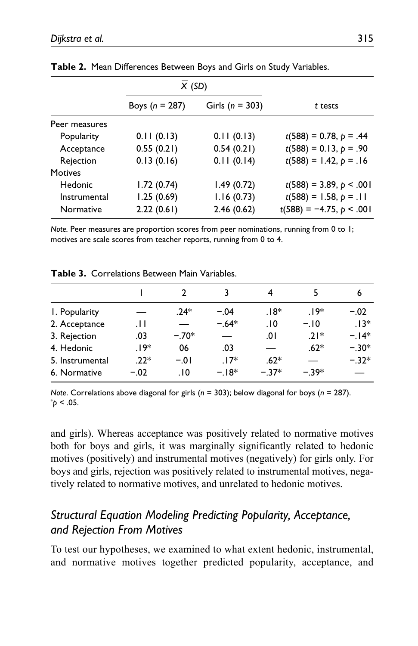|                | X(SD)              |                     |                            |
|----------------|--------------------|---------------------|----------------------------|
|                | Boys ( $n = 287$ ) | Girls ( $n = 303$ ) | t tests                    |
| Peer measures  |                    |                     |                            |
| Popularity     | 0.11(0.13)         | 0.11(0.13)          | $t(588) = 0.78, p = .44$   |
| Acceptance     | 0.55(0.21)         | 0.54(0.21)          | $t(588) = 0.13, p = .90$   |
| Rejection      | 0.13(0.16)         | 0.11(0.14)          | $t(588) = 1.42, p = .16$   |
| <b>Motives</b> |                    |                     |                            |
| Hedonic        | 1.72(0.74)         | 1.49(0.72)          | $t(588) = 3.89, p < .001$  |
| Instrumental   | 1.25(0.69)         | 1.16(0.73)          | $t(588) = 1.58, p = .11$   |
| Normative      | 2.22(0.61)         | 2.46(0.62)          | $t(588) = -4.75, p < .001$ |

**Table 2.** Mean Differences Between Boys and Girls on Study Variables.

*Note.* Peer measures are proportion scores from peer nominations, running from 0 to 1; motives are scale scores from teacher reports, running from 0 to 4.

|                 |        |         |         | 4      |        | 6       |
|-----------------|--------|---------|---------|--------|--------|---------|
| I. Popularity   |        | $.24*$  | $-.04$  | $.18*$ | $.19*$ | $-.02$  |
| 2. Acceptance   | .11    |         | $-.64*$ | .10    | $-.10$ | $.13*$  |
| 3. Rejection    | .03    | $-.70*$ |         | 0١.    | $21*$  | $-14*$  |
| 4. Hedonic      | .19*   | 06      | .03     |        | $.62*$ | $-.30*$ |
| 5. Instrumental | $.22*$ | $-.01$  | $.17*$  | $.62*$ |        | $-.32*$ |
| 6. Normative    | $-.02$ | .10     | $-18*$  | $-37*$ | $-39*$ |         |

**Table 3.** Correlations Between Main Variables.

*Note*. Correlations above diagonal for girls (*n* = 303); below diagonal for boys (*n* = 287). \* *p* < .05.

and girls). Whereas acceptance was positively related to normative motives both for boys and girls, it was marginally significantly related to hedonic motives (positively) and instrumental motives (negatively) for girls only. For boys and girls, rejection was positively related to instrumental motives, negatively related to normative motives, and unrelated to hedonic motives.

# *Structural Equation Modeling Predicting Popularity, Acceptance, and Rejection From Motives*

To test our hypotheses, we examined to what extent hedonic, instrumental, and normative motives together predicted popularity, acceptance, and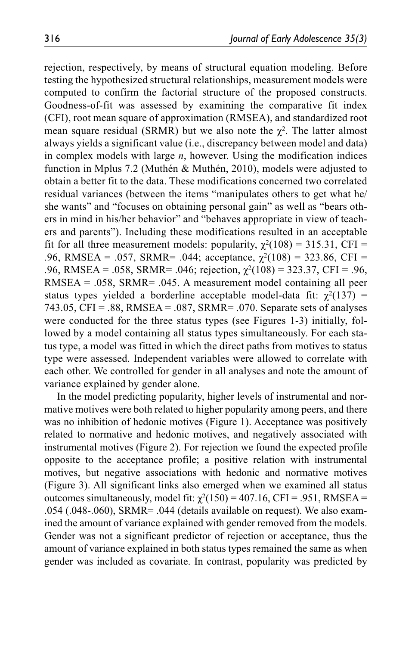rejection, respectively, by means of structural equation modeling. Before testing the hypothesized structural relationships, measurement models were computed to confirm the factorial structure of the proposed constructs. Goodness-of-fit was assessed by examining the comparative fit index (CFI), root mean square of approximation (RMSEA), and standardized root mean square residual (SRMR) but we also note the  $\chi^2$ . The latter almost always yields a significant value (i.e., discrepancy between model and data) in complex models with large *n*, however. Using the modification indices function in Mplus 7.2 (Muthén & Muthén, 2010), models were adjusted to obtain a better fit to the data. These modifications concerned two correlated residual variances (between the items "manipulates others to get what he/ she wants" and "focuses on obtaining personal gain" as well as "bears others in mind in his/her behavior" and "behaves appropriate in view of teachers and parents"). Including these modifications resulted in an acceptable fit for all three measurement models: popularity,  $\gamma^2(108) = 315.31$ , CFI = .96, RMSEA = .057, SRMR= .044; acceptance,  $\gamma^2(108) = 323.86$ , CFI = .96, RMSEA = .058, SRMR= .046; rejection,  $\chi^2(108) = 323.37$ , CFI = .96, RMSEA = .058, SRMR= .045. A measurement model containing all peer status types yielded a borderline acceptable model-data fit:  $\gamma^2(137)$  = 743.05, CFI = .88, RMSEA = .087, SRMR= .070. Separate sets of analyses were conducted for the three status types (see Figures 1-3) initially, followed by a model containing all status types simultaneously. For each status type, a model was fitted in which the direct paths from motives to status type were assessed. Independent variables were allowed to correlate with each other. We controlled for gender in all analyses and note the amount of variance explained by gender alone.

In the model predicting popularity, higher levels of instrumental and normative motives were both related to higher popularity among peers, and there was no inhibition of hedonic motives (Figure 1). Acceptance was positively related to normative and hedonic motives, and negatively associated with instrumental motives (Figure 2). For rejection we found the expected profile opposite to the acceptance profile; a positive relation with instrumental motives, but negative associations with hedonic and normative motives (Figure 3). All significant links also emerged when we examined all status outcomes simultaneously, model fit:  $χ²(150) = 407.16$ , CFI = .951, RMSEA = .054 (.048-.060), SRMR= .044 (details available on request). We also examined the amount of variance explained with gender removed from the models. Gender was not a significant predictor of rejection or acceptance, thus the amount of variance explained in both status types remained the same as when gender was included as covariate. In contrast, popularity was predicted by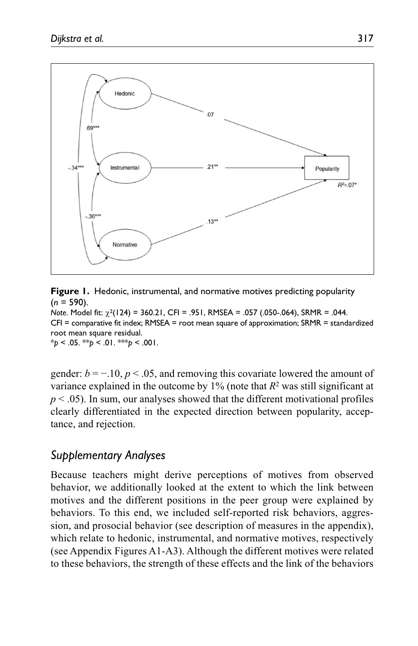

**Figure 1.** Hedonic, instrumental, and normative motives predicting popularity (*n* = 590). *Note*. Model fit:  $χ<sup>2</sup>(124) = 360.21$ , CFI = .951, RMSEA = .057 (.050-.064), SRMR = .044. CFI = comparative fit index; RMSEA = root mean square of approximation; SRMR = standardized root mean square residual. \**p* < .05. \*\**p* < .01. \*\*\**p* < .001.

gender:  $b = -10$ ,  $p < 0.05$ , and removing this covariate lowered the amount of variance explained in the outcome by 1% (note that *R*2 was still significant at  $p < .05$ ). In sum, our analyses showed that the different motivational profiles clearly differentiated in the expected direction between popularity, acceptance, and rejection.

## *Supplementary Analyses*

Because teachers might derive perceptions of motives from observed behavior, we additionally looked at the extent to which the link between motives and the different positions in the peer group were explained by behaviors. To this end, we included self-reported risk behaviors, aggression, and prosocial behavior (see description of measures in the appendix), which relate to hedonic, instrumental, and normative motives, respectively (see Appendix Figures A1-A3). Although the different motives were related to these behaviors, the strength of these effects and the link of the behaviors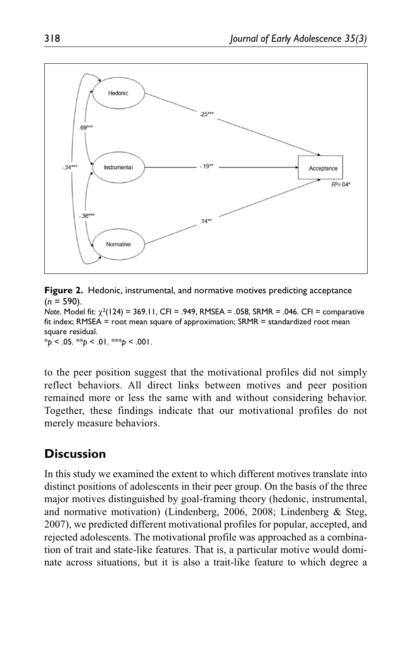

**Figure 2.** Hedonic, instrumental, and normative motives predicting acceptance (*n* = 590).

*Note*. Model fit: χ2(124) = 369.11, CFI = .949, RMSEA = .058, SRMR = .046. CFI = comparative fit index; RMSEA = root mean square of approximation; SRMR = standardized root mean square residual.  $*_{p}$  < .05.  $*_{p}$  < .01.  $*_{p}$  < .001.

to the peer position suggest that the motivational profiles did not simply reflect behaviors. All direct links between motives and peer position remained more or less the same with and without considering behavior. Together, these findings indicate that our motivational profiles do not merely measure behaviors.

# **Discussion**

In this study we examined the extent to which different motives translate into distinct positions of adolescents in their peer group. On the basis of the three major motives distinguished by goal-framing theory (hedonic, instrumental, and normative motivation) (Lindenberg, 2006, 2008; Lindenberg & Steg, 2007), we predicted different motivational profiles for popular, accepted, and rejected adolescents. The motivational profile was approached as a combination of trait and state-like features. That is, a particular motive would dominate across situations, but it is also a trait-like feature to which degree a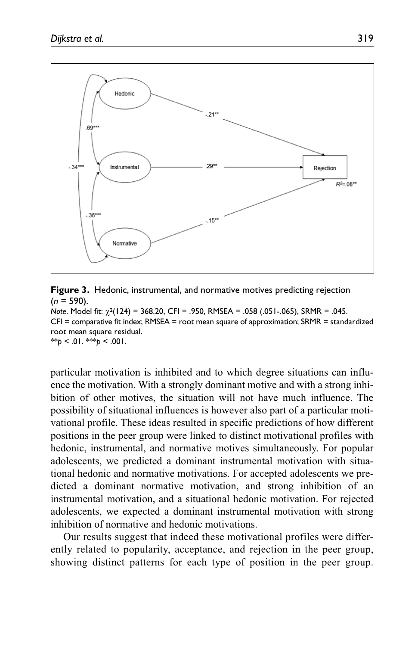

**Figure 3.** Hedonic, instrumental, and normative motives predicting rejection  $(n = 590)$ .

*Note*. Model fit:  $χ<sup>2</sup>(124) = 368.20$ , CFI = .950, RMSEA = .058 (.051-.065), SRMR = .045. CFI = comparative fit index; RMSEA = root mean square of approximation; SRMR = standardized root mean square residual. \*\**p* < .01. \*\**p* < .001.

particular motivation is inhibited and to which degree situations can influence the motivation. With a strongly dominant motive and with a strong inhibition of other motives, the situation will not have much influence. The possibility of situational influences is however also part of a particular motivational profile. These ideas resulted in specific predictions of how different positions in the peer group were linked to distinct motivational profiles with hedonic, instrumental, and normative motives simultaneously. For popular adolescents, we predicted a dominant instrumental motivation with situational hedonic and normative motivations. For accepted adolescents we predicted a dominant normative motivation, and strong inhibition of an instrumental motivation, and a situational hedonic motivation. For rejected adolescents, we expected a dominant instrumental motivation with strong inhibition of normative and hedonic motivations.

Our results suggest that indeed these motivational profiles were differently related to popularity, acceptance, and rejection in the peer group, showing distinct patterns for each type of position in the peer group.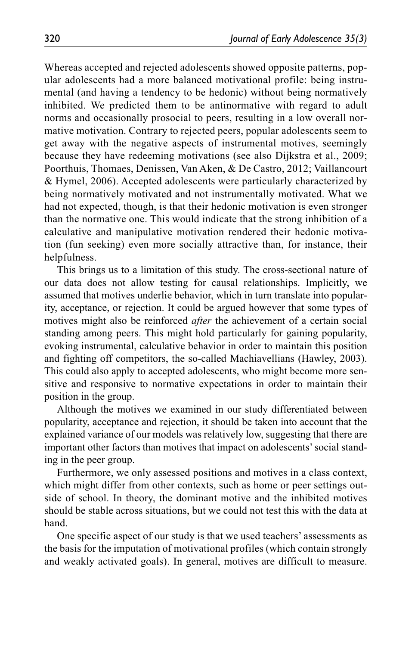Whereas accepted and rejected adolescents showed opposite patterns, popular adolescents had a more balanced motivational profile: being instrumental (and having a tendency to be hedonic) without being normatively inhibited. We predicted them to be antinormative with regard to adult norms and occasionally prosocial to peers, resulting in a low overall normative motivation. Contrary to rejected peers, popular adolescents seem to get away with the negative aspects of instrumental motives, seemingly because they have redeeming motivations (see also Dijkstra et al., 2009; Poorthuis, Thomaes, Denissen, Van Aken, & De Castro, 2012; Vaillancourt & Hymel, 2006). Accepted adolescents were particularly characterized by being normatively motivated and not instrumentally motivated. What we had not expected, though, is that their hedonic motivation is even stronger than the normative one. This would indicate that the strong inhibition of a calculative and manipulative motivation rendered their hedonic motivation (fun seeking) even more socially attractive than, for instance, their helpfulness.

This brings us to a limitation of this study. The cross-sectional nature of our data does not allow testing for causal relationships. Implicitly, we assumed that motives underlie behavior, which in turn translate into popularity, acceptance, or rejection. It could be argued however that some types of motives might also be reinforced *after* the achievement of a certain social standing among peers. This might hold particularly for gaining popularity, evoking instrumental, calculative behavior in order to maintain this position and fighting off competitors, the so-called Machiavellians (Hawley, 2003). This could also apply to accepted adolescents, who might become more sensitive and responsive to normative expectations in order to maintain their position in the group.

Although the motives we examined in our study differentiated between popularity, acceptance and rejection, it should be taken into account that the explained variance of our models was relatively low, suggesting that there are important other factors than motives that impact on adolescents' social standing in the peer group.

Furthermore, we only assessed positions and motives in a class context, which might differ from other contexts, such as home or peer settings outside of school. In theory, the dominant motive and the inhibited motives should be stable across situations, but we could not test this with the data at hand.

One specific aspect of our study is that we used teachers' assessments as the basis for the imputation of motivational profiles (which contain strongly and weakly activated goals). In general, motives are difficult to measure.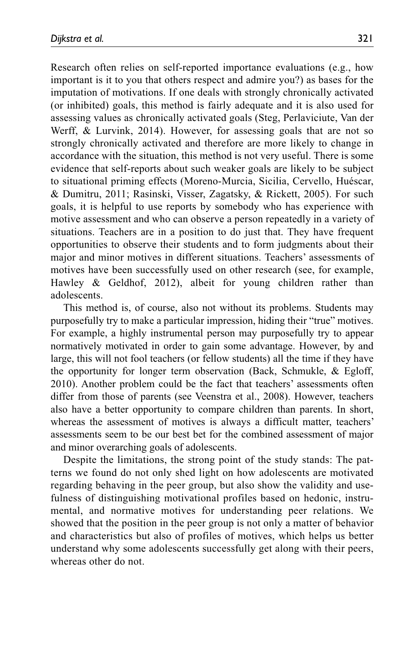Research often relies on self-reported importance evaluations (e.g., how important is it to you that others respect and admire you?) as bases for the imputation of motivations. If one deals with strongly chronically activated (or inhibited) goals, this method is fairly adequate and it is also used for assessing values as chronically activated goals (Steg, Perlaviciute, Van der Werff, & Lurvink, 2014). However, for assessing goals that are not so strongly chronically activated and therefore are more likely to change in accordance with the situation, this method is not very useful. There is some evidence that self-reports about such weaker goals are likely to be subject to situational priming effects (Moreno-Murcia, Sicilia, Cervello, Huéscar, & Dumitru, 2011; Rasinski, Visser, Zagatsky, & Rickett, 2005). For such goals, it is helpful to use reports by somebody who has experience with motive assessment and who can observe a person repeatedly in a variety of situations. Teachers are in a position to do just that. They have frequent opportunities to observe their students and to form judgments about their major and minor motives in different situations. Teachers' assessments of motives have been successfully used on other research (see, for example, Hawley & Geldhof, 2012), albeit for young children rather than adolescents.

This method is, of course, also not without its problems. Students may purposefully try to make a particular impression, hiding their "true" motives. For example, a highly instrumental person may purposefully try to appear normatively motivated in order to gain some advantage. However, by and large, this will not fool teachers (or fellow students) all the time if they have the opportunity for longer term observation (Back, Schmukle, & Egloff, 2010). Another problem could be the fact that teachers' assessments often differ from those of parents (see Veenstra et al., 2008). However, teachers also have a better opportunity to compare children than parents. In short, whereas the assessment of motives is always a difficult matter, teachers' assessments seem to be our best bet for the combined assessment of major and minor overarching goals of adolescents.

Despite the limitations, the strong point of the study stands: The patterns we found do not only shed light on how adolescents are motivated regarding behaving in the peer group, but also show the validity and usefulness of distinguishing motivational profiles based on hedonic, instrumental, and normative motives for understanding peer relations. We showed that the position in the peer group is not only a matter of behavior and characteristics but also of profiles of motives, which helps us better understand why some adolescents successfully get along with their peers, whereas other do not.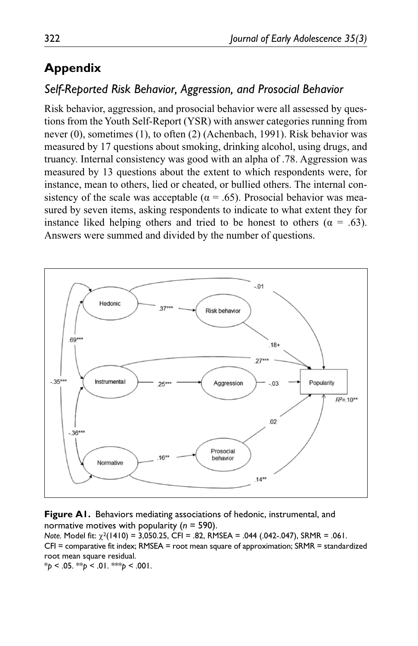# **Appendix**

## *Self-Reported Risk Behavior, Aggression, and Prosocial Behavior*

Risk behavior, aggression, and prosocial behavior were all assessed by questions from the Youth Self-Report (YSR) with answer categories running from never (0), sometimes (1), to often (2) (Achenbach, 1991). Risk behavior was measured by 17 questions about smoking, drinking alcohol, using drugs, and truancy. Internal consistency was good with an alpha of .78. Aggression was measured by 13 questions about the extent to which respondents were, for instance, mean to others, lied or cheated, or bullied others. The internal consistency of the scale was acceptable ( $\alpha = .65$ ). Prosocial behavior was measured by seven items, asking respondents to indicate to what extent they for instance liked helping others and tried to be honest to others ( $\alpha = .63$ ). Answers were summed and divided by the number of questions.



**Figure A1.** Behaviors mediating associations of hedonic, instrumental, and normative motives with popularity (*n* = 590). *Note.* Model fit: χ2(1410) = 3,050.25, CFI = .82, RMSEA = .044 (.042-.047), SRMR = .061. CFI = comparative fit index; RMSEA = root mean square of approximation; SRMR = standardized root mean square residual.

 $*_{p}$  < .05.  $*_{p}$  < .01.  $*_{p}$  < .001.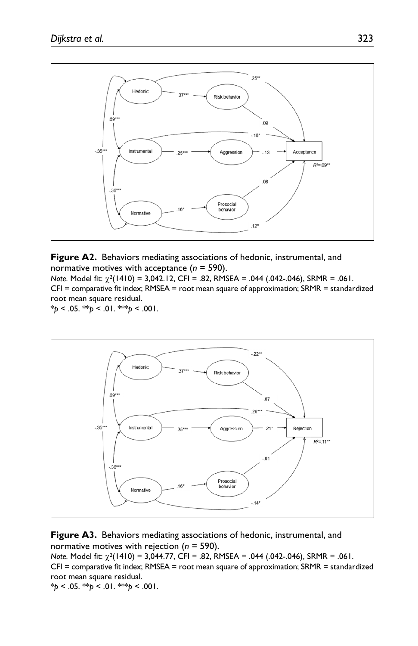

**Figure A2.** Behaviors mediating associations of hedonic, instrumental, and normative motives with acceptance (*n* = 590). *Note.* Model fit: χ2(1410) = 3,042.12, CFI = .82, RMSEA = .044 (.042-.046), SRMR = .061.

CFI = comparative fit index; RMSEA = root mean square of approximation; SRMR = standardized root mean square residual.  $*_{p}$  < .05. \*\**p* < .01. \*\**p* < .001.



**Figure A3.** Behaviors mediating associations of hedonic, instrumental, and normative motives with rejection (*n* = 590).

*Note.* Model fit: χ2(1410) = 3,044.77, CFI = .82, RMSEA = .044 (.042-.046), SRMR = .061. CFI = comparative fit index; RMSEA = root mean square of approximation; SRMR = standardized root mean square residual.

\**p* < .05. \*\**p* < .01. \*\*\**p* < .001.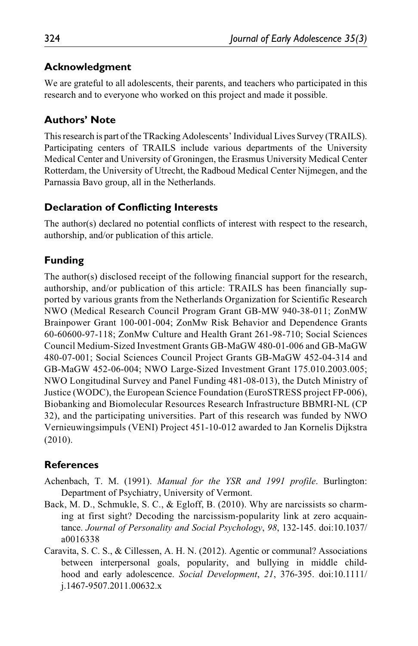### **Acknowledgment**

We are grateful to all adolescents, their parents, and teachers who participated in this research and to everyone who worked on this project and made it possible.

## **Authors' Note**

This research is part of the TRacking Adolescents' Individual Lives Survey (TRAILS). Participating centers of TRAILS include various departments of the University Medical Center and University of Groningen, the Erasmus University Medical Center Rotterdam, the University of Utrecht, the Radboud Medical Center Nijmegen, and the Parnassia Bavo group, all in the Netherlands.

### **Declaration of Conflicting Interests**

The author(s) declared no potential conflicts of interest with respect to the research, authorship, and/or publication of this article.

# **Funding**

The author(s) disclosed receipt of the following financial support for the research, authorship, and/or publication of this article: TRAILS has been financially supported by various grants from the Netherlands Organization for Scientific Research NWO (Medical Research Council Program Grant GB-MW 940-38-011; ZonMW Brainpower Grant 100-001-004; ZonMw Risk Behavior and Dependence Grants 60-60600-97-118; ZonMw Culture and Health Grant 261-98-710; Social Sciences Council Medium-Sized Investment Grants GB-MaGW 480-01-006 and GB-MaGW 480-07-001; Social Sciences Council Project Grants GB-MaGW 452-04-314 and GB-MaGW 452-06-004; NWO Large-Sized Investment Grant 175.010.2003.005; NWO Longitudinal Survey and Panel Funding 481-08-013), the Dutch Ministry of Justice (WODC), the European Science Foundation (EuroSTRESS project FP-006), Biobanking and Biomolecular Resources Research Infrastructure BBMRI-NL (CP 32), and the participating universities. Part of this research was funded by NWO Vernieuwingsimpuls (VENI) Project 451-10-012 awarded to Jan Kornelis Dijkstra (2010).

## **References**

- Achenbach, T. M. (1991). *Manual for the YSR and 1991 profile*. Burlington: Department of Psychiatry, University of Vermont.
- Back, M. D., Schmukle, S. C., & Egloff, B. (2010). Why are narcissists so charming at first sight? Decoding the narcissism-popularity link at zero acquaintance. *Journal of Personality and Social Psychology*, *98*, 132-145. doi:10.1037/ a0016338
- Caravita, S. C. S., & Cillessen, A. H. N. (2012). Agentic or communal? Associations between interpersonal goals, popularity, and bullying in middle childhood and early adolescence. *Social Development*, *21*, 376-395. doi:10.1111/ j.1467-9507.2011.00632.x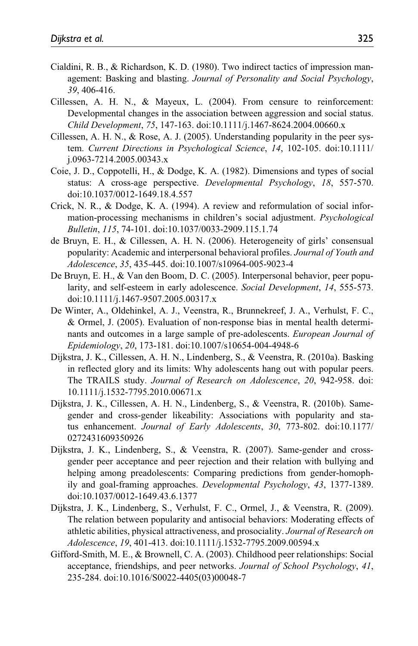- Cialdini, R. B., & Richardson, K. D. (1980). Two indirect tactics of impression management: Basking and blasting. *Journal of Personality and Social Psychology*, *39*, 406-416.
- Cillessen, A. H. N., & Mayeux, L. (2004). From censure to reinforcement: Developmental changes in the association between aggression and social status. *Child Development*, *75*, 147-163. doi:10.1111/j.1467-8624.2004.00660.x
- Cillessen, A. H. N., & Rose, A. J. (2005). Understanding popularity in the peer system. *Current Directions in Psychological Science*, *14*, 102-105. doi:10.1111/ j.0963-7214.2005.00343.x
- Coie, J. D., Coppotelli, H., & Dodge, K. A. (1982). Dimensions and types of social status: A cross-age perspective. *Developmental Psychology*, *18*, 557-570. doi:10.1037/0012-1649.18.4.557
- Crick, N. R., & Dodge, K. A. (1994). A review and reformulation of social information-processing mechanisms in children's social adjustment. *Psychological Bulletin*, *115*, 74-101. doi:10.1037/0033-2909.115.1.74
- de Bruyn, E. H., & Cillessen, A. H. N. (2006). Heterogeneity of girls' consensual popularity: Academic and interpersonal behavioral profiles. *Journal of Youth and Adolescence*, *35*, 435-445. doi:10.1007/s10964-005-9023-4
- De Bruyn, E. H., & Van den Boom, D. C. (2005). Interpersonal behavior, peer popularity, and self-esteem in early adolescence. *Social Development*, *14*, 555-573. doi:10.1111/j.1467-9507.2005.00317.x
- De Winter, A., Oldehinkel, A. J., Veenstra, R., Brunnekreef, J. A., Verhulst, F. C., & Ormel, J. (2005). Evaluation of non-response bias in mental health determinants and outcomes in a large sample of pre-adolescents. *European Journal of Epidemiology*, *20*, 173-181. doi:10.1007/s10654-004-4948-6
- Dijkstra, J. K., Cillessen, A. H. N., Lindenberg, S., & Veenstra, R. (2010a). Basking in reflected glory and its limits: Why adolescents hang out with popular peers. The TRAILS study. *Journal of Research on Adolescence*, *20*, 942-958. doi: 10.1111/j.1532-7795.2010.00671.x
- Dijkstra, J. K., Cillessen, A. H. N., Lindenberg, S., & Veenstra, R. (2010b). Samegender and cross-gender likeability: Associations with popularity and status enhancement. *Journal of Early Adolescents*, *30*, 773-802. doi:10.1177/ 0272431609350926
- Dijkstra, J. K., Lindenberg, S., & Veenstra, R. (2007). Same-gender and crossgender peer acceptance and peer rejection and their relation with bullying and helping among preadolescents: Comparing predictions from gender-homophily and goal-framing approaches. *Developmental Psychology*, *43*, 1377-1389. doi:10.1037/0012-1649.43.6.1377
- Dijkstra, J. K., Lindenberg, S., Verhulst, F. C., Ormel, J., & Veenstra, R. (2009). The relation between popularity and antisocial behaviors: Moderating effects of athletic abilities, physical attractiveness, and prosociality. *Journal of Research on Adolescence*, *19*, 401-413. doi:10.1111/j.1532-7795.2009.00594.x
- Gifford-Smith, M. E., & Brownell, C. A. (2003). Childhood peer relationships: Social acceptance, friendships, and peer networks. *Journal of School Psychology*, *41*, 235-284. doi:10.1016/S0022-4405(03)00048-7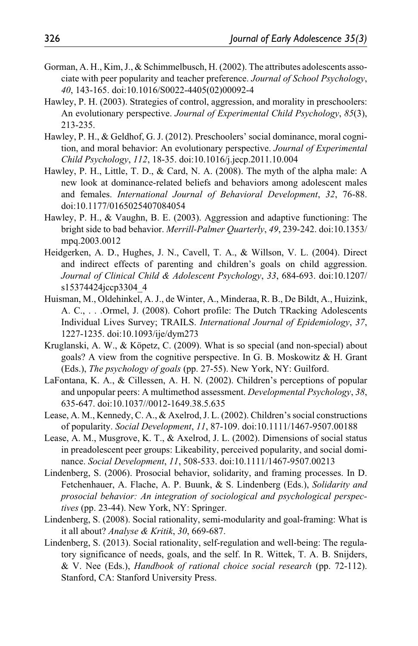- Gorman, A. H., Kim, J., & Schimmelbusch, H. (2002). The attributes adolescents associate with peer popularity and teacher preference. *Journal of School Psychology*, *40*, 143-165. doi:10.1016/S0022-4405(02)00092-4
- Hawley, P. H. (2003). Strategies of control, aggression, and morality in preschoolers: An evolutionary perspective. *Journal of Experimental Child Psychology*, *85*(3), 213-235.
- Hawley, P. H., & Geldhof, G. J. (2012). Preschoolers' social dominance, moral cognition, and moral behavior: An evolutionary perspective. *Journal of Experimental Child Psychology*, *112*, 18-35. doi:10.1016/j.jecp.2011.10.004
- Hawley, P. H., Little, T. D., & Card, N. A. (2008). The myth of the alpha male: A new look at dominance-related beliefs and behaviors among adolescent males and females. *International Journal of Behavioral Development*, *32*, 76-88. doi:10.1177/0165025407084054
- Hawley, P. H., & Vaughn, B. E. (2003). Aggression and adaptive functioning: The bright side to bad behavior. *Merrill-Palmer Quarterly*, *49*, 239-242. doi:10.1353/ mpq.2003.0012
- Heidgerken, A. D., Hughes, J. N., Cavell, T. A., & Willson, V. L. (2004). Direct and indirect effects of parenting and children's goals on child aggression. *Journal of Clinical Child & Adolescent Psychology*, *33*, 684-693. doi:10.1207/ s15374424jccp3304\_4
- Huisman, M., Oldehinkel, A. J., de Winter, A., Minderaa, R. B., De Bildt, A., Huizink, A. C., . . .Ormel, J. (2008). Cohort profile: The Dutch TRacking Adolescents Individual Lives Survey; TRAILS. *International Journal of Epidemiology*, *37*, 1227-1235. doi:10.1093/ije/dym273
- Kruglanski, A. W., & Köpetz, C. (2009). What is so special (and non-special) about goals? A view from the cognitive perspective. In G. B. Moskowitz & H. Grant (Eds.), *The psychology of goals* (pp. 27-55). New York, NY: Guilford.
- LaFontana, K. A., & Cillessen, A. H. N. (2002). Children's perceptions of popular and unpopular peers: A multimethod assessment. *Developmental Psychology*, *38*, 635-647. doi:10.1037//0012-1649.38.5.635
- Lease, A. M., Kennedy, C. A., & Axelrod, J. L. (2002). Children's social constructions of popularity. *Social Development*, *11*, 87-109. doi:10.1111/1467-9507.00188
- Lease, A. M., Musgrove, K. T., & Axelrod, J. L. (2002). Dimensions of social status in preadolescent peer groups: Likeability, perceived popularity, and social dominance. *Social Development*, *11*, 508-533. doi:10.1111/1467-9507.00213
- Lindenberg, S. (2006). Prosocial behavior, solidarity, and framing processes. In D. Fetchenhauer, A. Flache, A. P. Buunk, & S. Lindenberg (Eds.), *Solidarity and prosocial behavior: An integration of sociological and psychological perspectives* (pp. 23-44). New York, NY: Springer.
- Lindenberg, S. (2008). Social rationality, semi-modularity and goal-framing: What is it all about? *Analyse & Kritik*, *30*, 669-687.
- Lindenberg, S. (2013). Social rationality, self-regulation and well-being: The regulatory significance of needs, goals, and the self. In R. Wittek, T. A. B. Snijders, & V. Nee (Eds.), *Handbook of rational choice social research* (pp. 72-112). Stanford, CA: Stanford University Press.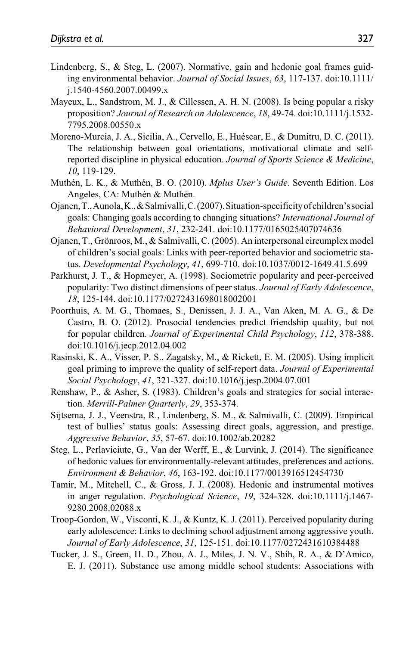- Lindenberg, S., & Steg, L. (2007). Normative, gain and hedonic goal frames guiding environmental behavior. *Journal of Social Issues*, *63*, 117-137. doi:10.1111/ j.1540-4560.2007.00499.x
- Mayeux, L., Sandstrom, M. J., & Cillessen, A. H. N. (2008). Is being popular a risky proposition? *Journal of Research on Adolescence*, *18*, 49-74. doi:10.1111/j.1532- 7795.2008.00550.x
- Moreno-Murcia, J. A., Sicilia, A., Cervello, E., Huéscar, E., & Dumitru, D. C. (2011). The relationship between goal orientations, motivational climate and selfreported discipline in physical education. *Journal of Sports Science & Medicine*, *10*, 119-129.
- Muthén, L. K., & Muthén, B. O. (2010). *Mplus User's Guide*. Seventh Edition. Los Angeles, CA: Muthén & Muthén.
- Ojanen, T., Aunola, K., & Salmivalli, C. (2007). Situation-specificity of children's social goals: Changing goals according to changing situations? *International Journal of Behavioral Development*, *31*, 232-241. doi:10.1177/0165025407074636
- Ojanen, T., Grönroos, M., & Salmivalli, C. (2005). An interpersonal circumplex model of children's social goals: Links with peer-reported behavior and sociometric status. *Developmental Psychology*, *41*, 699-710. doi:10.1037/0012-1649.41.5.699
- Parkhurst, J. T., & Hopmeyer, A. (1998). Sociometric popularity and peer-perceived popularity: Two distinct dimensions of peer status. *Journal of Early Adolescence*, *18*, 125-144. doi:10.1177/0272431698018002001
- Poorthuis, A. M. G., Thomaes, S., Denissen, J. J. A., Van Aken, M. A. G., & De Castro, B. O. (2012). Prosocial tendencies predict friendship quality, but not for popular children. *Journal of Experimental Child Psychology*, *112*, 378-388. doi:10.1016/j.jecp.2012.04.002
- Rasinski, K. A., Visser, P. S., Zagatsky, M., & Rickett, E. M. (2005). Using implicit goal priming to improve the quality of self-report data. *Journal of Experimental Social Psychology*, *41*, 321-327. doi:10.1016/j.jesp.2004.07.001
- Renshaw, P., & Asher, S. (1983). Children's goals and strategies for social interaction. *Merrill-Palmer Quarterly*, *29*, 353-374.
- Sijtsema, J. J., Veenstra, R., Lindenberg, S. M., & Salmivalli, C. (2009). Empirical test of bullies' status goals: Assessing direct goals, aggression, and prestige. *Aggressive Behavior*, *35*, 57-67. doi:10.1002/ab.20282
- Steg, L., Perlaviciute, G., Van der Werff, E., & Lurvink, J. (2014). The significance of hedonic values for environmentally-relevant attitudes, preferences and actions. *Environment & Behavior*, *46*, 163-192. doi:10.1177/0013916512454730
- Tamir, M., Mitchell, C., & Gross, J. J. (2008). Hedonic and instrumental motives in anger regulation. *Psychological Science*, *19*, 324-328. doi:10.1111/j.1467- 9280.2008.02088.x
- Troop-Gordon, W., Visconti, K. J., & Kuntz, K. J. (2011). Perceived popularity during early adolescence: Links to declining school adjustment among aggressive youth. *Journal of Early Adolescence*, *31*, 125-151. doi:10.1177/0272431610384488
- Tucker, J. S., Green, H. D., Zhou, A. J., Miles, J. N. V., Shih, R. A., & D'Amico, E. J. (2011). Substance use among middle school students: Associations with